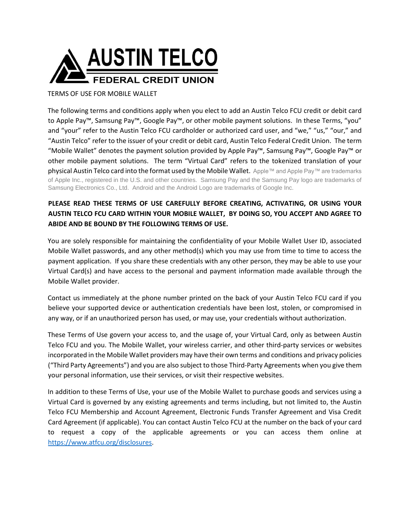

TERMS OF USE FOR MOBILE WALLET

The following terms and conditions apply when you elect to add an Austin Telco FCU credit or debit card to Apple Pay™, Samsung Pay™, Google Pay™, or other mobile payment solutions. In these Terms, "you" and "your" refer to the Austin Telco FCU cardholder or authorized card user, and "we," "us," "our," and "Austin Telco" refer to the issuer of your credit or debit card, Austin Telco Federal Credit Union. The term "Mobile Wallet" denotes the payment solution provided by Apple Pay™, Samsung Pay™, Google Pay™ or other mobile payment solutions. The term "Virtual Card" refers to the tokenized translation of your physical Austin Telco card into the format used by the Mobile Wallet. Apple™ and Apple Pay™ are trademarks of Apple Inc., registered in the U.S. and other countries. Samsung Pay and the Samsung Pay logo are trademarks of Samsung Electronics Co., Ltd. Android and the Android Logo are trademarks of Google Inc.

## **PLEASE READ THESE TERMS OF USE CAREFULLY BEFORE CREATING, ACTIVATING, OR USING YOUR AUSTIN TELCO FCU CARD WITHIN YOUR MOBILE WALLET, BY DOING SO, YOU ACCEPT AND AGREE TO ABIDE AND BE BOUND BY THE FOLLOWING TERMS OF USE.**

You are solely responsible for maintaining the confidentiality of your Mobile Wallet User ID, associated Mobile Wallet passwords, and any other method(s) which you may use from time to time to access the payment application. If you share these credentials with any other person, they may be able to use your Virtual Card(s) and have access to the personal and payment information made available through the Mobile Wallet provider.

Contact us immediately at the phone number printed on the back of your Austin Telco FCU card if you believe your supported device or authentication credentials have been lost, stolen, or compromised in any way, or if an unauthorized person has used, or may use, your credentials without authorization.

These Terms of Use govern your access to, and the usage of, your Virtual Card, only as between Austin Telco FCU and you. The Mobile Wallet, your wireless carrier, and other third-party services or websites incorporated in the Mobile Wallet providers may have their own terms and conditions and privacy policies ("Third Party Agreements") and you are also subject to those Third-Party Agreements when you give them your personal information, use their services, or visit their respective websites.

In addition to these Terms of Use, your use of the Mobile Wallet to purchase goods and services using a Virtual Card is governed by any existing agreements and terms including, but not limited to, the Austin Telco FCU Membership and Account Agreement, Electronic Funds Transfer Agreement and Visa Credit Card Agreement (if applicable). You can contact Austin Telco FCU at the number on the back of your card to request a copy of the applicable agreements or you can access them online at <https://www.atfcu.org/disclosures>[.](https://www.atfcu.org/forms-disclosures-fees.htm)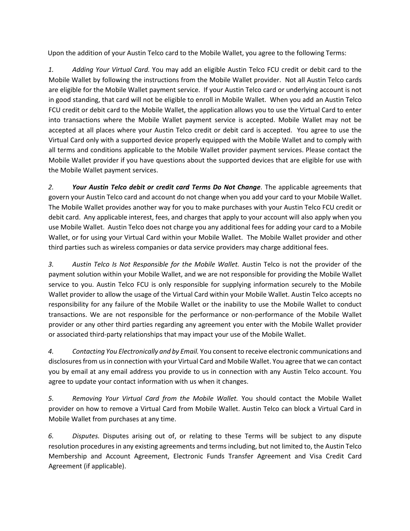Upon the addition of your Austin Telco card to the Mobile Wallet, you agree to the following Terms:

*1. Adding Your Virtual Card.* You may add an eligible Austin Telco FCU credit or debit card to the Mobile Wallet by following the instructions from the Mobile Wallet provider. Not all Austin Telco cards are eligible for the Mobile Wallet payment service. If your Austin Telco card or underlying account is not in good standing, that card will not be eligible to enroll in Mobile Wallet. When you add an Austin Telco FCU credit or debit card to the Mobile Wallet, the application allows you to use the Virtual Card to enter into transactions where the Mobile Wallet payment service is accepted. Mobile Wallet may not be accepted at all places where your Austin Telco credit or debit card is accepted. You agree to use the Virtual Card only with a supported device properly equipped with the Mobile Wallet and to comply with all terms and conditions applicable to the Mobile Wallet provider payment services. Please contact the Mobile Wallet provider if you have questions about the supported devices that are eligible for use with the Mobile Wallet payment services.

*2. Your Austin Telco debit or credit card Terms Do Not Change.* The applicable agreements that govern your Austin Telco card and account do not change when you add your card to your Mobile Wallet. The Mobile Wallet provides another way for you to make purchases with your Austin Telco FCU credit or debit card. Any applicable interest, fees, and charges that apply to your account will also apply when you use Mobile Wallet. Austin Telco does not charge you any additional fees for adding your card to a Mobile Wallet, or for using your Virtual Card within your Mobile Wallet. The Mobile Wallet provider and other third parties such as wireless companies or data service providers may charge additional fees.

*3. Austin Telco Is Not Responsible for the Mobile Wallet.* Austin Telco is not the provider of the payment solution within your Mobile Wallet, and we are not responsible for providing the Mobile Wallet service to you. Austin Telco FCU is only responsible for supplying information securely to the Mobile Wallet provider to allow the usage of the Virtual Card within your Mobile Wallet. Austin Telco accepts no responsibility for any failure of the Mobile Wallet or the inability to use the Mobile Wallet to conduct transactions. We are not responsible for the performance or non-performance of the Mobile Wallet provider or any other third parties regarding any agreement you enter with the Mobile Wallet provider or associated third-party relationships that may impact your use of the Mobile Wallet.

*4. Contacting You Electronically and by Email.* You consent to receive electronic communications and disclosures from us in connection with your Virtual Card and Mobile Wallet. You agree that we can contact you by email at any email address you provide to us in connection with any Austin Telco account. You agree to update your contact information with us when it changes.

*5. Removing Your Virtual Card from the Mobile Wallet.* You should contact the Mobile Wallet provider on how to remove a Virtual Card from Mobile Wallet. Austin Telco can block a Virtual Card in Mobile Wallet from purchases at any time.

*6. Disputes.* Disputes arising out of, or relating to these Terms will be subject to any dispute resolution procedures in any existing agreements and terms including, but not limited to, the Austin Telco Membership and Account Agreement, Electronic Funds Transfer Agreement and Visa Credit Card Agreement (if applicable).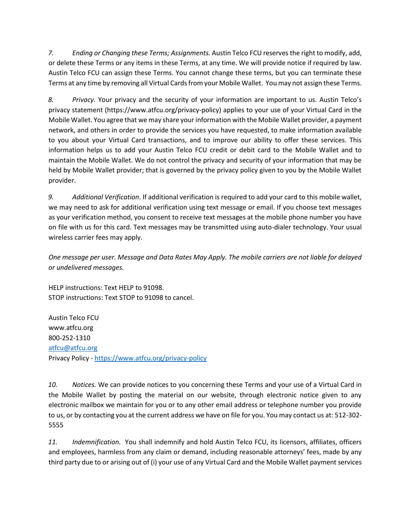*7. Ending or Changing these Terms; Assignments.* Austin Telco FCU reserves the right to modify, add, or delete these Terms or any items in these Terms, at any time. We will provide notice if required by law. Austin Telco FCU can assign these Terms. You cannot change these terms, but you can terminate these Terms at any time by removing all Virtual Cards from your Mobile Wallet. You may not assign these Terms.

*8. Privacy.* Your privacy and the security of your information are important to us. Austin Telco's privacy statement (https://www.atfcu.org/privacy-policy) applies to your use of your Virtual Card in the Mobile Wallet. You agree that we may share your information with the Mobile Wallet provider, a payment network, and others in order to provide the services you have requested, to make information available to you about your Virtual Card transactions, and to improve our ability to offer these services. This information helps us to add your Austin Telco FCU credit or debit card to the Mobile Wallet and to maintain the Mobile Wallet. We do not control the privacy and security of your information that may be held by Mobile Wallet provider; that is governed by the privacy policy given to you by the Mobile Wallet provider.

*9. Additional Verification*. If additional verification is required to add your card to this mobile wallet, we may need to ask for additional verification using text message or email. If you choose text messages as your verification method, you consent to receive text messages at the mobile phone number you have on file with us for this card. Text messages may be transmitted using auto-dialer technology. Your usual wireless carrier fees may apply.

*One message per user. Message and Data Rates May Apply. The mobile carriers are not liable for delayed or undelivered messages.* 

HELP instructions: Text HELP to 91098. STOP instructions: Text STOP to 91098 to cancel.

Austin Telco FCU www.atfcu.org 800-252-1310 [atfcu@atfcu.org](mailto:atfcu@atfcu.org) Privacy Policy - <https://www.atfcu.org/privacy-policy>

*10. Notices.* We can provide notices to you concerning these Terms and your use of a Virtual Card in the Mobile Wallet by posting the material on our website, through electronic notice given to any electronic mailbox we maintain for you or to any other email address or telephone number you provide to us, or by contacting you at the current address we have on file for you. You may contact us at: 512-302- 5555

*11. Indemnification.* You shall indemnify and hold Austin Telco FCU, its licensors, affiliates, officers and employees, harmless from any claim or demand, including reasonable attorneys' fees, made by any third party due to or arising out of (i) your use of any Virtual Card and the Mobile Wallet payment services